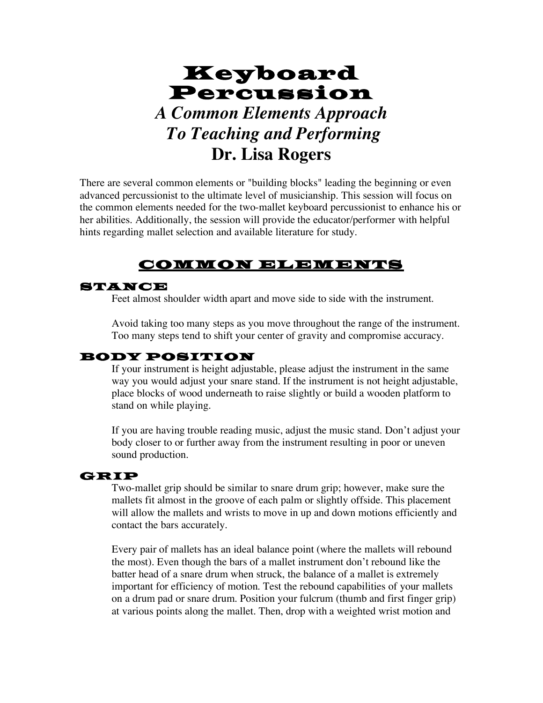# Keyboard Percussion *A Common Elements Approach To Teaching and Performing* **Dr. Lisa Rogers**

There are several common elements or "building blocks" leading the beginning or even advanced percussionist to the ultimate level of musicianship. This session will focus on the common elements needed for the two-mallet keyboard percussionist to enhance his or her abilities. Additionally, the session will provide the educator/performer with helpful hints regarding mallet selection and available literature for study.

### COMMON ELEMENTS

#### STANCE

Feet almost shoulder width apart and move side to side with the instrument.

Avoid taking too many steps as you move throughout the range of the instrument. Too many steps tend to shift your center of gravity and compromise accuracy.

#### BODY POSITION

If your instrument is height adjustable, please adjust the instrument in the same way you would adjust your snare stand. If the instrument is not height adjustable, place blocks of wood underneath to raise slightly or build a wooden platform to stand on while playing.

If you are having trouble reading music, adjust the music stand. Don't adjust your body closer to or further away from the instrument resulting in poor or uneven sound production.

#### GRIP

Two-mallet grip should be similar to snare drum grip; however, make sure the mallets fit almost in the groove of each palm or slightly offside. This placement will allow the mallets and wrists to move in up and down motions efficiently and contact the bars accurately.

Every pair of mallets has an ideal balance point (where the mallets will rebound the most). Even though the bars of a mallet instrument don't rebound like the batter head of a snare drum when struck, the balance of a mallet is extremely important for efficiency of motion. Test the rebound capabilities of your mallets on a drum pad or snare drum. Position your fulcrum (thumb and first finger grip) at various points along the mallet. Then, drop with a weighted wrist motion and